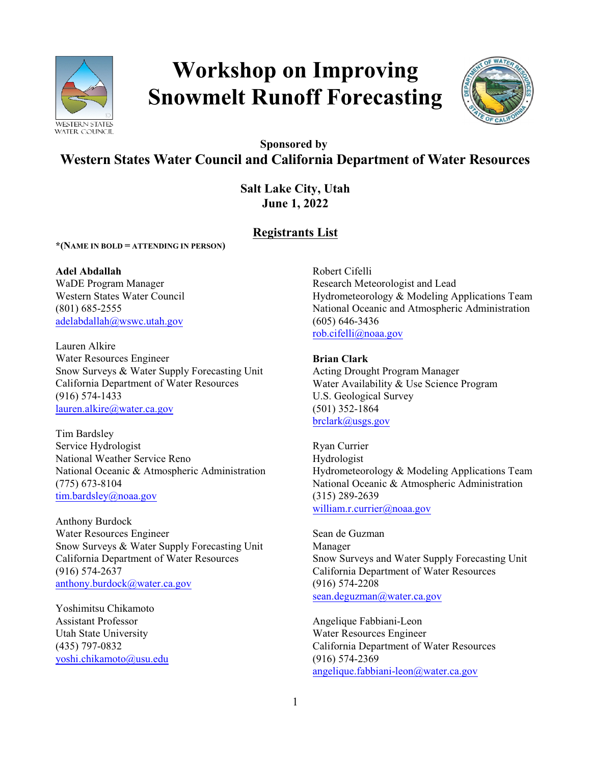

# **Workshop on Improving Snowmelt Runoff Forecasting**



## **Sponsored by Western States Water Council and California Department of Water Resources**

**Salt Lake City, Utah June 1, 2022**

## **Registrants List**

**\*(NAME IN BOLD = ATTENDING IN PERSON)** 

**Adel Abdallah** WaDE Program Manager Western States Water Council (801) 685-2555 [adelabdallah@wswc.utah.gov](mailto:adelabdallah@wswc.utah.gov)

Lauren Alkire Water Resources Engineer Snow Surveys & Water Supply Forecasting Unit California Department of Water Resources (916) 574-1433 [lauren.alkire@water.ca.gov](mailto:lauren.alkire@water.ca.gov)

Tim Bardsley Service Hydrologist National Weather Service Reno National Oceanic & Atmospheric Administration (775) 673-8104 [tim.bardsley@noaa.gov](mailto:tim.bardsley@noaa.gov)

Anthony Burdock Water Resources Engineer Snow Surveys & Water Supply Forecasting Unit California Department of Water Resources (916) 574-2637 [anthony.burdock@water.ca.gov](mailto:anthony.burdock@water.ca.gov)

Yoshimitsu Chikamoto Assistant Professor Utah State University (435) 797-0832 [yoshi.chikamoto@usu.edu](mailto:yoshi.chikamoto@usu.edu) Robert Cifelli Research Meteorologist and Lead Hydrometeorology & Modeling Applications Team National Oceanic and Atmospheric Administration (605) 646-3436 [rob.cifelli@noaa.gov](mailto:rob.cifelli@noaa.gov)

### **Brian Clark**

Acting Drought Program Manager Water Availability & Use Science Program U.S. Geological Survey (501) 352-1864 [brclark@usgs.gov](mailto:brclark@usgs.gov)

Ryan Currier Hydrologist Hydrometeorology & Modeling Applications Team National Oceanic & Atmospheric Administration (315) 289-2639 [william.r.currier@noaa.gov](mailto:william.r.currier@noaa.gov)

Sean de Guzman Manager Snow Surveys and Water Supply Forecasting Unit California Department of Water Resources (916) 574-2208 [sean.deguzman@water.ca.gov](mailto:sean.deguzman@water.ca.gov)

Angelique Fabbiani-Leon Water Resources Engineer California Department of Water Resources (916) 574-2369 [angelique.fabbiani-leon@water.ca.gov](mailto:angelique.fabbiani-leon@water.ca.gov)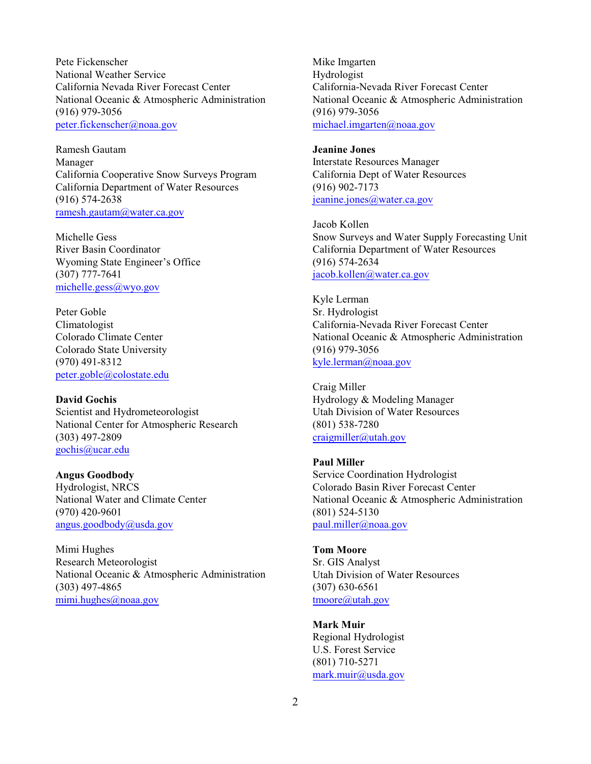Pete Fickenscher National Weather Service California Nevada River Forecast Center National Oceanic & Atmospheric Administration (916) 979-3056 [peter.fickenscher@noaa.gov](mailto:peter.fickenscher@noaa.gov)

Ramesh Gautam Manager California Cooperative Snow Surveys Program California Department of Water Resources (916) 574-2638 [ramesh.gautam@water.ca.gov](mailto:ramesh.gautam@water.ca.gov)

Michelle Gess River Basin Coordinator Wyoming State Engineer's Office (307) 777-7641 [michelle.gess@wyo.gov](mailto:michelle.gess@wyo.gov)

Peter Goble Climatologist Colorado Climate Center Colorado State University (970) 491-8312 [peter.goble@colostate.edu](mailto:peter.goble@colostate.edu)

**David Gochis** Scientist and Hydrometeorologist National Center for Atmospheric Research (303) 497-2809 [gochis@ucar.edu](mailto:gochis@ucar.edu)

## **Angus Goodbody**

Hydrologist, NRCS National Water and Climate Center (970) 420-9601 [angus.goodbody@usda.gov](mailto:angus.goodbody@usda.gov)

Mimi Hughes Research Meteorologist National Oceanic & Atmospheric Administration (303) 497-4865 [mimi.hughes@noaa.gov](mailto:mimi.hughes@noaa.gov)

Mike Imgarten Hydrologist California-Nevada River Forecast Center National Oceanic & Atmospheric Administration (916) 979-3056 [michael.imgarten@noaa.gov](mailto:michael.imgarten@noaa.gov)

## **Jeanine Jones**

Interstate Resources Manager California Dept of Water Resources (916) 902-7173 [jeanine.jones@water.ca.gov](mailto:jeanine.jones@water.ca.gov)

Jacob Kollen Snow Surveys and Water Supply Forecasting Unit California Department of Water Resources (916) 574-2634 [jacob.kollen@water.ca.gov](mailto:jacob.kollen@water.ca.gov)

Kyle Lerman Sr. Hydrologist California-Nevada River Forecast Center National Oceanic & Atmospheric Administration (916) 979-3056 [kyle.lerman@noaa.gov](mailto:kyle.lerman@noaa.gov)

Craig Miller Hydrology & Modeling Manager Utah Division of Water Resources (801) 538-7280 [craigmiller@utah.gov](mailto:craigmiller@utah.gov)

#### **Paul Miller**

Service Coordination Hydrologist Colorado Basin River Forecast Center National Oceanic & Atmospheric Administration (801) 524-5130 [paul.miller@noaa.gov](mailto:paul.miller@noaa.gov)

#### **Tom Moore**

Sr. GIS Analyst Utah Division of Water Resources (307) 630-6561 [tmoore@utah.gov](mailto:tmoore@utah.gov)

#### **Mark Muir**

Regional Hydrologist U.S. Forest Service (801) 710-5271 [mark.muir@usda.gov](mailto:mark.muir@usda.gov)